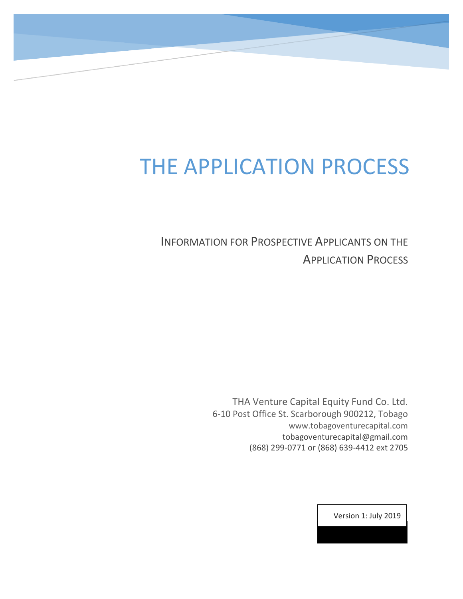## THE APPLICATION PROCESS

INFORMATION FOR PROSPECTIVE APPLICANTS ON THE APPLICATION PROCESS

> THA Venture Capital Equity Fund Co. Ltd. 6-10 Post Office St. Scarborough 900212, Tobago www.tobagoventurecapital.com tobagoventurecapital@gmail.com (868) 299-0771 or (868) 639-4412 ext 2705

> > Version 1: July 2019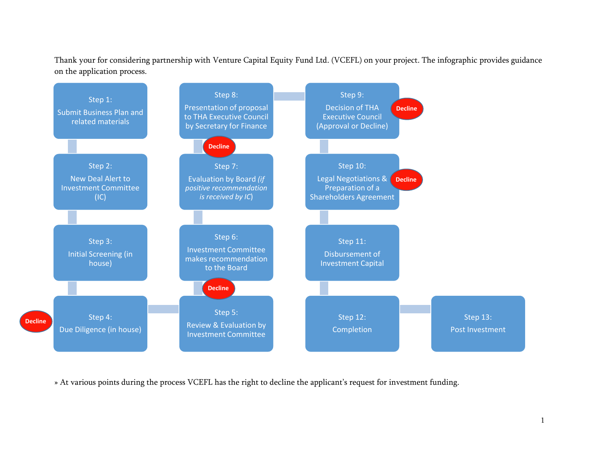Thank your for considering partnership with Venture Capital Equity Fund Ltd. (VCEFL) on your project. The infographic provides guidance on the application process.



» At various points during the process VCEFL has the right to decline the applicant's request for investment funding.